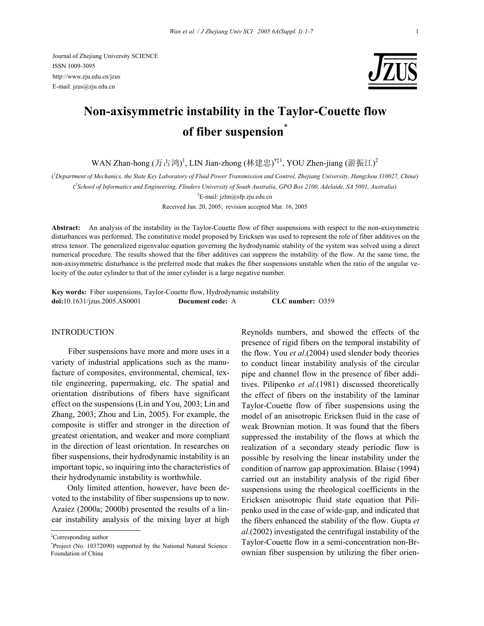Journal of Zhejiang University SCIENCE ISSN 1009-3095 http://www.zju.edu.cn/jzus E-mail: jzus@zju.edu.cn



# **Non-axisymmetric instability in the Taylor-Couette flow of fiber suspension\***

WAN Zhan-hong (万占鸿)<sup>1</sup>, LIN Jian-zhong (林建忠)<sup>†‡1</sup>, YOU Zhen-jiang (游振江)<sup>2</sup>

( *1 Department of Mechanics, the State Key Laboratory of Fluid Power Transmission and Control, Zhejiang University, Hangzhou 310027, China*)

( *2 School of Informatics and Engineering, Flinders University of South Australia, GPO Box 2100, Adelaide, SA 5001, Australia*)

† E-mail: jzlin@sfp.zju.edu.cn

Received Jan. 20, 2005; revision accepted Mar. 16, 2005

**Abstract:** An analysis of the instability in the Taylor-Couette flow of fiber suspensions with respect to the non-axisymmetric disturbances was performed. The constitutive model proposed by Ericksen was used to represent the role of fiber additives on the stress tensor. The generalized eigenvalue equation governing the hydrodynamic stability of the system was solved using a direct numerical procedure. The results showed that the fiber additives can suppress the instability of the flow. At the same time, the non-axisymmetric disturbance is the preferred mode that makes the fiber suspensions unstable when the ratio of the angular velocity of the outer cylinder to that of the inner cylinder is a large negative number.

**Key words:** Fiber suspensions, Taylor-Couette flow, Hydrodynamic instability **doi:**10.1631/jzus.2005.AS0001 **Document code:** A **CLC number:** O359

# INTRODUCTION

Fiber suspensions have more and more uses in a variety of industrial applications such as the manufacture of composites, environmental, chemical, textile engineering, papermaking, etc. The spatial and orientation distributions of fibers have significant effect on the suspensions (Lin and You, 2003; Lin and Zhang, 2003; Zhou and Lin, 2005). For example, the composite is stiffer and stronger in the direction of greatest orientation, and weaker and more compliant in the direction of least orientation. In researches on fiber suspensions, their hydrodynamic instability is an important topic, so inquiring into the characteristics of their hydrodynamic instability is worthwhile.

Only limited attention, however, have been devoted to the instability of fiber suspensions up to now. Azaiez (2000a; 2000b) presented the results of a linear instability analysis of the mixing layer at high

‡ Corresponding author

Reynolds numbers, and showed the effects of the presence of rigid fibers on the temporal instability of the flow. You *et al*.(2004) used slender body theories to conduct linear instability analysis of the circular pipe and channel flow in the presence of fiber additives. Pilipenko *et al*.(1981) discussed theoretically the effect of fibers on the instability of the laminar Taylor-Couette flow of fiber suspensions using the model of an anisotropic Ericksen fluid in the case of weak Brownian motion. It was found that the fibers suppressed the instability of the flows at which the realization of a secondary steady periodic flow is possible by resolving the linear instability under the condition of narrow gap approximation. Blaise (1994) carried out an instability analysis of the rigid fiber suspensions using the rheological coefficients in the Ericksen anisotropic fluid state equation that Pilipenko used in the case of wide-gap, and indicated that the fibers enhanced the stability of the flow. Gupta *et al*.(2002) investigated the centrifugal instability of the Taylor-Couette flow in a semi-concentration non-Brownian fiber suspension by utilizing the fiber orien-

<sup>\*</sup> Project (No. 10372090) supported by the National Natural Science Foundation of China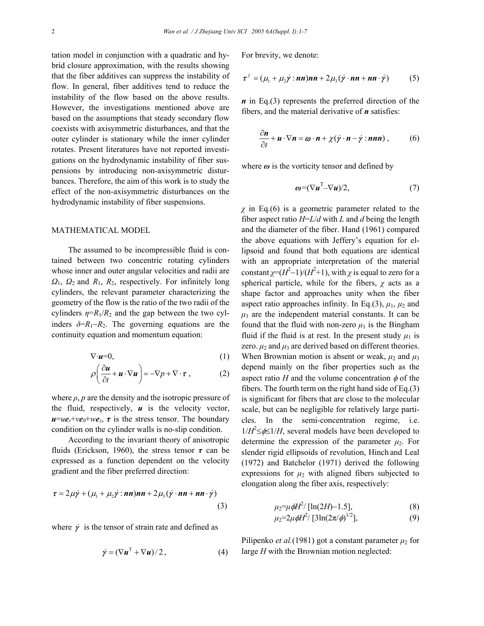tation model in conjunction with a quadratic and hybrid closure approximation, with the results showing that the fiber additives can suppress the instability of flow. In general, fiber additives tend to reduce the instability of the flow based on the above results. However, the investigations mentioned above are based on the assumptions that steady secondary flow coexists with axisymmetric disturbances, and that the outer cylinder is stationary while the inner cylinder rotates. Present literatures have not reported investigations on the hydrodynamic instability of fiber suspensions by introducing non-axisymmetric disturbances. Therefore, the aim of this work is to study the effect of the non-axisymmetric disturbances on the hydrodynamic instability of fiber suspensions.

### MATHEMATICAL MODEL

The assumed to be incompressible fluid is contained between two concentric rotating cylinders whose inner and outer angular velocities and radii are *Ω*1, *Ω*2 and *R*1, *R*2, respectively. For infinitely long cylinders, the relevant parameter characterizing the geometry of the flow is the ratio of the two radii of the cylinders  $\eta = R_1/R_2$  and the gap between the two cylinders  $\delta = R_1 - R_2$ . The governing equations are the continuity equation and momentum equation:

$$
\nabla \cdot \mathbf{u} = 0,\tag{1}
$$

$$
\rho \left( \frac{\partial \boldsymbol{u}}{\partial t} + \boldsymbol{u} \cdot \nabla \boldsymbol{u} \right) = -\nabla p + \nabla \cdot \boldsymbol{\tau} , \qquad (2)
$$

where  $\rho$ ,  $p$  are the density and the isotropic pressure of the fluid, respectively,  $\boldsymbol{u}$  is the velocity vector,  $u = ue_r + ve_\theta + we_z$ ,  $\tau$  is the stress tensor. The boundary condition on the cylinder walls is no-slip condition.

According to the invariant theory of anisotropic fluids (Erickson, 1960), the stress tensor *τ* can be expressed as a function dependent on the velocity gradient and the fiber preferred direction:

$$
\tau = 2\mu \dot{\gamma} + (\mu_1 + \mu_2 \dot{\gamma} : nn)nn + 2\mu_3 (\dot{\gamma} \cdot nn + nn \cdot \dot{\gamma})
$$
\n(3)

where  $\dot{\gamma}$  is the tensor of strain rate and defined as

$$
\dot{\gamma} = (\nabla \boldsymbol{u}^{\mathrm{T}} + \nabla \boldsymbol{u})/2, \qquad (4)
$$

For brevity, we denote:

$$
\boldsymbol{\tau}^f = (\mu_1 + \mu_2 \dot{\boldsymbol{\gamma}} \cdot \boldsymbol{n} \boldsymbol{n}) \boldsymbol{n} \boldsymbol{n} + 2 \mu_3 (\dot{\boldsymbol{\gamma}} \cdot \boldsymbol{n} \boldsymbol{n} + \boldsymbol{n} \boldsymbol{n} \cdot \dot{\boldsymbol{\gamma}}) \tag{5}
$$

*n* in Eq.(3) represents the preferred direction of the fibers, and the material derivative of *n* satisfies:

$$
\frac{\partial n}{\partial t} + \boldsymbol{u} \cdot \nabla n = \boldsymbol{\omega} \cdot \boldsymbol{n} + \chi (\dot{\boldsymbol{\gamma}} \cdot \boldsymbol{n} - \dot{\boldsymbol{\gamma}} \cdot \boldsymbol{n} n n) , \qquad (6)
$$

where  $\omega$  is the vorticity tensor and defined by

$$
\boldsymbol{\omega} = (\nabla \boldsymbol{u}^{\mathrm{T}} - \nabla \boldsymbol{u})/2, \tag{7}
$$

*χ* in Eq.(6) is a geometric parameter related to the fiber aspect ratio *H*=*L*/*d* with *L* and *d* being the length and the diameter of the fiber. Hand (1961) compared the above equations with Jeffery's equation for ellipsoid and found that both equations are identical with an appropriate interpretation of the material constant  $\chi = (H^2 - 1)/(H^2 + 1)$ , with  $\chi$  is equal to zero for a spherical particle, while for the fibers,  $\chi$  acts as a shape factor and approaches unity when the fiber aspect ratio approaches infinity. In Eq.(3),  $\mu_1$ ,  $\mu_2$  and  $\mu_3$  are the independent material constants. It can be found that the fluid with non-zero  $\mu_1$  is the Bingham fluid if the fluid is at rest. In the present study  $\mu_1$  is zero.  $\mu_2$  and  $\mu_3$  are derived based on different theories. When Brownian motion is absent or weak,  $\mu_2$  and  $\mu_3$ depend mainly on the fiber properties such as the aspect ratio *H* and the volume concentration  $\phi$  of the fibers. The fourth term on the right hand side of Eq.(3) is significant for fibers that are close to the molecular scale, but can be negligible for relatively large particles. In the semi-concentration regime, i.e.  $1/H^2 \leq \phi \leq 1/H$ , several models have been developed to determine the expression of the parameter  $\mu_2$ . For slender rigid ellipsoids of revolution, Hinch and Leal (1972) and Batchelor (1971) derived the following expressions for  $\mu_2$  with aligned fibers subjected to elongation along the fiber axis, respectively:

$$
\mu_2 = \mu \phi H^2 / [\ln(2H) - 1.5],\tag{8}
$$
\n
$$
\mu_2 = \mu \phi H^2 / [2 \ln(2\pi / \phi^{1/2})]
$$
\n
$$
\tag{9}
$$

$$
\mu_2=2\mu\phi H^2/[3\ln(2\pi/\phi)^{1/2}],\tag{9}
$$

Pilipenko *et al.*(1981) got a constant parameter  $\mu_2$  for large *H* with the Brownian motion neglected: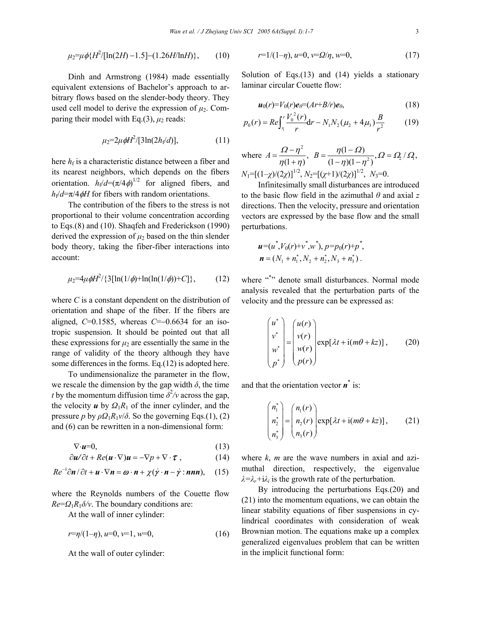$$
\mu_2 = \mu \phi \{H^2/[\ln(2H) - 1.5] - (1.26H/\ln H)\},\qquad(10)
$$

Dinh and Armstrong (1984) made essentially equivalent extensions of Bachelor's approach to arbitrary flows based on the slender-body theory. They used cell model to derive the expression of  $\mu_2$ . Comparing their model with Eq.(3),  $\mu_2$  reads:

$$
\mu_2 = 2\mu \phi H^2 / [3\ln(2h_f/d)], \qquad (11)
$$

here  $h_f$  is a characteristic distance between a fiber and its nearest neighbors, which depends on the fibers orientation.  $h_f/d = (\pi/4\phi)^{1/2}$  for aligned fibers, and  $h/d = \pi/4 \phi H$  for fibers with random orientations.

The contribution of the fibers to the stress is not proportional to their volume concentration according to Eqs.(8) and (10). Shaqfeh and Frederickson (1990) derived the expression of  $\mu_2$  based on the thin slender body theory, taking the fiber-fiber interactions into account:

$$
\mu_2=4\mu\phi H^2/\{3[\ln(1/\phi)+\ln(\ln(1/\phi))+C]\},\qquad(12)
$$

where *C* is a constant dependent on the distribution of orientation and shape of the fiber. If the fibers are aligned, *C*=0.1585, whereas *C*=−0.6634 for an isotropic suspension. It should be pointed out that all these expressions for  $\mu_2$  are essentially the same in the range of validity of the theory although they have some differences in the forms. Eq.(12) is adopted here.

To undimensionalize the parameter in the flow, we rescale the dimension by the gap width  $\delta$ , the time *t* by the momentum diffusion time  $\delta^2$ /*v* across the gap, the velocity  $\boldsymbol{u}$  by  $\Omega_1 R_1$  of the inner cylinder, and the pressure *p* by  $\rho \Omega_1 R_1 v / \delta$ . So the governing Eqs.(1), (2) and (6) can be rewritten in a non-dimensional form:

$$
\nabla \cdot \mathbf{u} = 0,\tag{13}
$$

$$
\frac{\partial \boldsymbol{u}}{\partial t} + Re(\boldsymbol{u} \cdot \nabla)\boldsymbol{u} = -\nabla p + \nabla \cdot \boldsymbol{\tau} \,, \tag{14}
$$

$$
Re^{-1}\partial \mathbf{n}/\partial t + \mathbf{u} \cdot \nabla \mathbf{n} = \boldsymbol{\omega} \cdot \mathbf{n} + \chi (\dot{\mathbf{y}} \cdot \mathbf{n} - \dot{\mathbf{y}} \cdot \mathbf{n}\mathbf{n}\mathbf{n}), \quad (15)
$$

where the Reynolds numbers of the Couette flow  $Re = Q_1R_1\delta/\nu$ . The boundary conditions are:

At the wall of inner cylinder:

$$
r = \eta/(1-\eta), u=0, v=1, w=0,
$$
\n(16)

At the wall of outer cylinder:

$$
r=1/(1-\eta), u=0, v=\Omega/\eta, w=0,
$$
\n(17)

Solution of Eqs. $(13)$  and  $(14)$  yields a stationary laminar circular Couette flow:

$$
\boldsymbol{u}_0(r) = V_0(r)\boldsymbol{e}_{\theta} = (Ar + B/r)\boldsymbol{e}_{\theta},\tag{18}
$$

$$
p_0(r) = Re \int_{r_1}^{r} \frac{V_0^2(r)}{r} dr - N_1 N_2 (\mu_2 + 4\mu_3) \frac{B}{r^2}
$$
 (19)

where 
$$
A = \frac{\Omega - \eta^2}{\eta(1 + \eta)}
$$
,  $B = \frac{\eta(1 - \Omega)}{(1 - \eta)(1 - \eta^2)}$ ,  $\Omega = \Omega_2 / \Omega$ ,  
\n $N_1 = [(1 - \chi)/(2\chi)]^{1/2}$ ,  $N_2 = [(\chi + 1)/(2\chi)]^{1/2}$ ,  $N_3 = 0$ .

Infinitesimally small disturbances are introduced to the basic flow field in the azimuthal *θ* and axial *z* directions. Then the velocity, pressure and orientation vectors are expressed by the base flow and the small perturbations.

$$
\mathbf{u} = (u^*, V_0(r) + v^*, w^*), \ p = p_0(r) + p^*,
$$
  
\n
$$
\mathbf{n} = (N_1 + n_1^*, N_2 + n_2^*, N_3 + n_3^*).
$$

where "\*" denote small disturbances. Normal mode analysis revealed that the perturbation parts of the velocity and the pressure can be expressed as:

$$
\begin{pmatrix} u^* \\ v^* \\ w^* \\ p^* \end{pmatrix} = \begin{pmatrix} u(r) \\ v(r) \\ w(r) \\ p(r) \end{pmatrix} \exp[\lambda t + i(m\theta + kz)], \qquad (20)
$$

and that the orientation vector *n*\* is:

$$
\begin{pmatrix} n_1^* \\ n_2^* \\ n_3^* \end{pmatrix} = \begin{pmatrix} n_1(r) \\ n_2(r) \\ n_3(r) \end{pmatrix} \exp[\lambda t + i(m\theta + kz)], \qquad (21)
$$

where *k*, *m* are the wave numbers in axial and azimuthal direction, respectively, the eigenvalue  $\lambda = \lambda_r + i\lambda_i$  is the growth rate of the perturbation.

By introducing the perturbations Eqs.(20) and (21) into the momentum equations, we can obtain the linear stability equations of fiber suspensions in cylindrical coordinates with consideration of weak Brownian motion. The equations make up a complex generalized eigenvalues problem that can be written in the implicit functional form: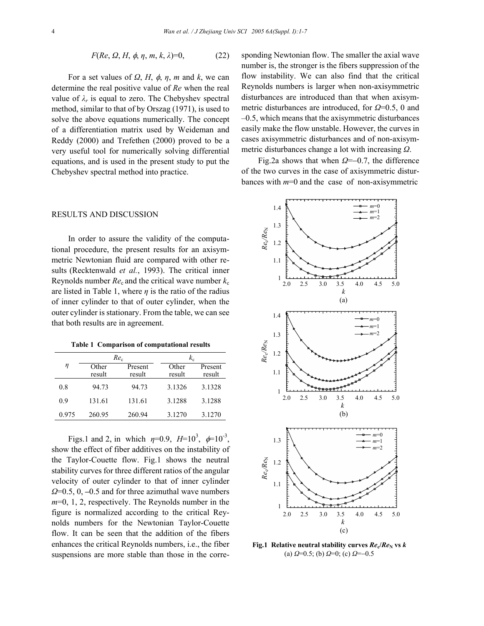$$
F(Re, \Omega, H, \phi, \eta, m, k, \lambda)=0,
$$
 (22)

For a set values of  $\Omega$ ,  $H$ ,  $\phi$ ,  $\eta$ ,  $m$  and  $k$ , we can determine the real positive value of *Re* when the real value of  $\lambda_r$  is equal to zero. The Chebyshev spectral method, similar to that of by Orszag (1971), is used to solve the above equations numerically. The concept of a differentiation matrix used by Weideman and Reddy (2000) and Trefethen (2000) proved to be a very useful tool for numerically solving differential equations, and is used in the present study to put the Chebyshev spectral method into practice.

# RESULTS AND DISCUSSION

In order to assure the validity of the computational procedure, the present results for an axisymmetric Newtonian fluid are compared with other results (Recktenwald *et al.*, 1993). The critical inner Reynolds number  $Re<sub>c</sub>$  and the critical wave number  $k_c$ are listed in Table 1, where  $\eta$  is the ratio of the radius of inner cylinder to that of outer cylinder, when the outer cylinder is stationary. From the table, we can see that both results are in agreement.

**Table 1 Comparison of computational results** 

|       | $Re_c$          |                   | $k_{\rm c}$     |                   |
|-------|-----------------|-------------------|-----------------|-------------------|
| η     | Other<br>result | Present<br>result | Other<br>result | Present<br>result |
| 0.8   | 94.73           | 94.73             | 3.1326          | 3.1328            |
| 09    | 131.61          | 131.61            | 3.1288          | 3.1288            |
| 0.975 | 260.95          | 260.94            | 3.1270          | 3.1270            |

Figs.1 and 2, in which  $\eta=0.9$ ,  $H=10^3$ ,  $\phi=10^{-3}$ , show the effect of fiber additives on the instability of the Taylor-Couette flow. Fig.1 shows the neutral stability curves for three different ratios of the angular velocity of outer cylinder to that of inner cylinder *Ω*=0.5, 0, **–**0.5 and for three azimuthal wave numbers *m*=0, 1, 2, respectively. The Reynolds number in the figure is normalized according to the critical Reynolds numbers for the Newtonian Taylor-Couette flow. It can be seen that the addition of the fibers enhances the critical Reynolds numbers, i.e., the fiber suspensions are more stable than those in the corre-

sponding Newtonian flow. The smaller the axial wave number is, the stronger is the fibers suppression of the flow instability. We can also find that the critical Reynolds numbers is larger when non-axisymmetric disturbances are introduced than that when axisymmetric disturbances are introduced, for *Ω*=0.5, 0 and –0.5, which means that the axisymmetric disturbances easily make the flow unstable. However, the curves in cases axisymmetric disturbances and of non-axisymmetric disturbances change a lot with increasing *Ω*.

Fig.2a shows that when *Ω*=−0.7, the difference of the two curves in the case of axisymmetric disturbances with *m*=0 and the case of non-axisymmetric



**Fig.1** Relative neutral stability curves  $Re_e/Re_N$  vs  $k$ (a) *Ω*=0.5; (b) *Ω*=0; (c) *Ω*=−0.5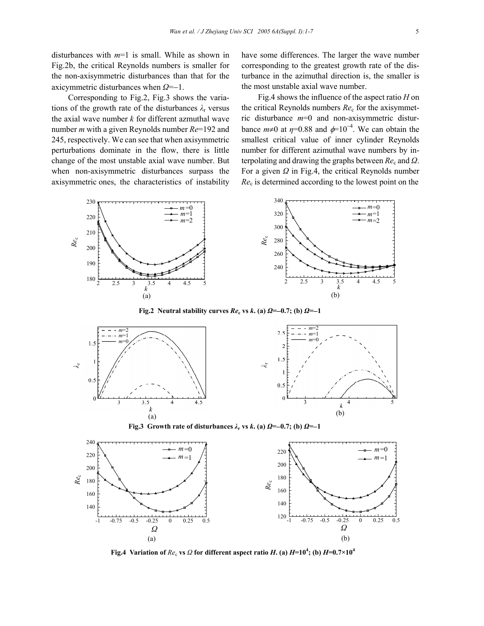disturbances with *m*=1 is small. While as shown in Fig.2b, the critical Reynolds numbers is smaller for the non-axisymmetric disturbances than that for the axicymmetric disturbances when *Ω*=−1.

Corresponding to Fig.2, Fig.3 shows the variations of the growth rate of the disturbances  $\lambda_{r}$  versus the axial wave number *k* for different azmuthal wave number *m* with a given Reynolds number *Re*=192 and 245, respectively. We can see that when axisymmetric perturbations dominate in the flow, there is little change of the most unstable axial wave number. But when non-axisymmetric disturbances surpass the axisymmetric ones, the characteristics of instability have some differences. The larger the wave number corresponding to the greatest growth rate of the disturbance in the azimuthal direction is, the smaller is the most unstable axial wave number.

Fig.4 shows the influence of the aspect ratio *H* on the critical Reynolds numbers *Re*c for the axisymmetric disturbance *m*=0 and non-axisymmetric disturbance  $m\neq 0$  at  $\eta=0.88$  and  $\phi=10^{-4}$ . We can obtain the smallest critical value of inner cylinder Reynolds number for different azimuthal wave numbers by interpolating and drawing the graphs between *Re*c and *Ω*. For a given *Ω* in Fig.4, the critical Reynolds number *Re*c is determined according to the lowest point on the



**Fig.2** Neutral stability curves  $Re_c$  vs  $k$ **.** (a)  $\Omega = -0.7$ ; (b)  $\Omega = -1$ 



**Fig.3** Growth rate of disturbances  $\lambda_r$  vs  $k$ **.** (a)  $\Omega = -0.7$ ; (b)  $\Omega = -1$ 



**Fig.4** Variation of  $Re_\text{c}$  vs  $\varOmega$  for different aspect ratio  $H$ . (a)  $H\!\!=\!\!10^4$ ; (b)  $H\!\!=\!\!0.7{\times}10^4$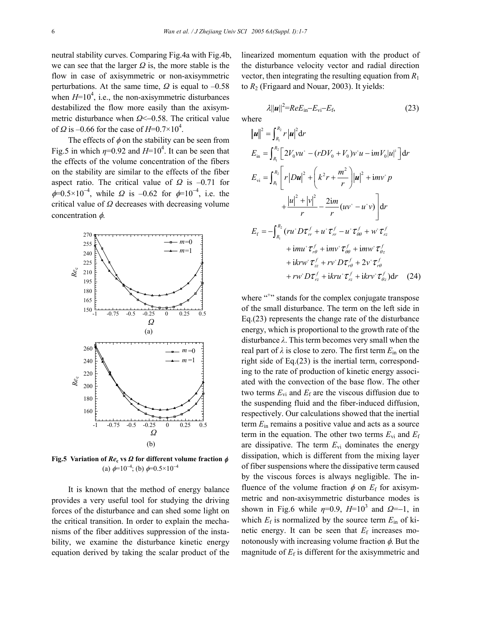neutral stability curves. Comparing Fig.4a with Fig.4b, we can see that the larger *Ω* is, the more stable is the flow in case of axisymmetric or non-axisymmetric perturbations. At the same time,  $\Omega$  is equal to  $-0.58$ when  $H=10^4$ , i.e., the non-axisymmetric disturbances destabilized the flow more easily than the axisymmetric disturbance when *Ω*<−0.58. The critical value of  $\Omega$  is -0.66 for the case of  $H=0.7\times10^4$ .

The effects of  $\phi$  on the stability can be seen from Fig.5 in which  $\eta$ =0.92 and  $H$ =10<sup>4</sup>. It can be seen that the effects of the volume concentration of the fibers on the stability are similar to the effects of the fiber aspect ratio. The critical value of *Ω* is –0.71 for  $\phi=0.5\times10^{-4}$ , while  $\Omega$  is -0.62 for  $\phi=10^{-4}$ , i.e. the critical value of *Ω* decreases with decreasing volume concentration  $\phi$ .



**Fig.5 Variation of** *Re***c vs** *Ω* **for different volume fraction** φ (a)  $\phi=10^{-4}$ ; (b)  $\phi=0.5\times10^{-4}$ 

It is known that the method of energy balance provides a very useful tool for studying the driving forces of the disturbance and can shed some light on the critical transition. In order to explain the mechanisms of the fiber additives suppression of the instability, we examine the disturbance kinetic energy equation derived by taking the scalar product of the linearized momentum equation with the product of the disturbance velocity vector and radial direction vector, then integrating the resulting equation from  $R_1$ to *R*2 (Frigaard and Nouar, 2003). It yields:

$$
\lambda ||\boldsymbol{u}||^2 = ReE_{\rm in} - E_{\rm vi} - E_{\rm f},\tag{23}
$$

where

$$
\|\mathbf{u}\|^2 = \int_{R_1}^{R_2} r|\mathbf{u}|^2 dr
$$
  
\n
$$
E_{in} = \int_{R_1}^{R_2} \left[ 2V_0 v u^+ - (rD V_0 + V_0) v^* u - imV_0 |u|^2 \right] dr
$$
  
\n
$$
E_{vi} = \int_{R_1}^{R_2} \left[ r|Du|^2 + \left( k^2 r + \frac{m^2}{r} \right) |u|^2 + imv^* p \right.
$$
  
\n
$$
+ \frac{|u|^2 + |v|^2}{r} - \frac{2im}{r} (uv^* - u^* v) \right] dr
$$
  
\n
$$
E_f = -\int_{R_1}^{R_2} (ru^* D \tau_{rr}^f + u^* \tau_{rr}^f - u^* \tau_{\theta\theta}^f + w^* \tau_{rz}^f + imu^* \tau_{\theta\theta}^f + imv^* \tau_{\theta\theta}^f + imv^* \tau_{\theta\theta}^f + imv^* \tau_{\theta\theta}^f + 2v^* \tau_{r\theta}^f + 2v^* \tau_{r\theta}^f + iv^* D \tau_{rz}^f + i k r v^* D \tau_{rz}^f + i k r v^* \tau_{rz}^f + i k r v^* \tau_{\theta\theta}^f) dr \quad (24)
$$

where "<sup>+</sup>" stands for the complex conjugate transpose of the small disturbance. The term on the left side in Eq.(23) represents the change rate of the disturbance energy, which is proportional to the growth rate of the disturbance *λ*. This term becomes very small when the real part of  $\lambda$  is close to zero. The first term  $E_{\text{in}}$  on the right side of Eq.(23) is the inertial term, corresponding to the rate of production of kinetic energy associated with the convection of the base flow. The other two terms  $E_{vi}$  and  $E_f$  are the viscous diffusion due to the suspending fluid and the fiber-induced diffusion, respectively. Our calculations showed that the inertial term *E*in remains a positive value and acts as a source term in the equation. The other two terms  $E_{vi}$  and  $E_f$ are dissipative. The term  $E_{\rm vi}$  dominates the energy dissipation, which is different from the mixing layer of fiber suspensions where the dissipative term caused by the viscous forces is always negligible. The influence of the volume fraction  $\phi$  on  $E_f$  for axisymmetric and non-axisymmetric disturbance modes is shown in Fig.6 while  $\eta=0.9$ ,  $H=10^3$  and  $\Omega=-1$ , in which  $E_f$  is normalized by the source term  $E_{\text{in}}$  of kinetic energy. It can be seen that  $E_f$  increases monotonously with increasing volume fraction  $\phi$ . But the magnitude of  $E_f$  is different for the axisymmetric and